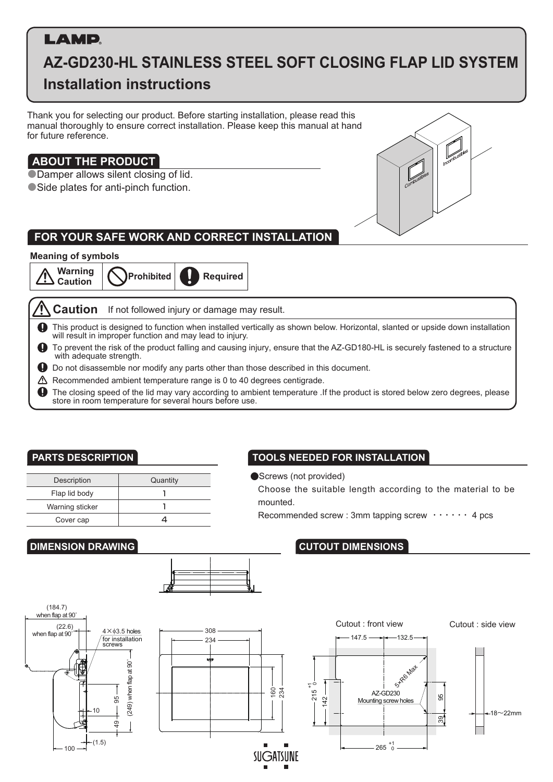# **LAMD.**

# **AZ-GD230-HL STAINLESS STEEL SOFT CLOSING FLAP LID SYSTEM Installation instructions**

Thank you for selecting our product. Before starting installation, please read this manual thoroughly to ensure correct installation. Please keep this manual at hand for future reference.

# **ABOUT THE PRODUCT**

●Damper allows silent closing of lid. ● Side plates for anti-pinch function.



# **FOR YOUR SAFE WORK AND CORRECT INSTALLATION**

#### **Meaning of symbols**



**Caution** If not followed injury or damage may result.

 $\mathbf \Omega$ This product is designed to function when installed vertically as shown below. Horizontal, slanted or upside down installation will result in improper function and may lead to injury.

- $\mathbf{\bullet}$ To prevent the risk of the product falling and causing injury, ensure that the AZ-GD180-HL is securely fastened to a structure with adequate strength.
- Do not disassemble nor modify any parts other than those described in this document.
- ⚠ Recommended ambient temperature range is 0 to 40 degrees centigrade.

The closing speed of the lid may vary according to ambient temperature .If the product is stored below zero degrees, please  $\mathbf \Phi$ store in room temperature for several hours before use.

| Description     | Quantity |
|-----------------|----------|
| Flap lid body   |          |
| Warning sticker |          |
| Cover cap       |          |

## **PARTS DESCRIPTION TOOLS NEEDED FOR INSTALLATION**

●Screws (not provided)

Choose the suitable length according to the material to be mounted.

Recommended screw : 3mm tapping screw  $\cdots$  4 pcs

## **DIMENSION DRAWING CUTOUT DIMENSIONS**